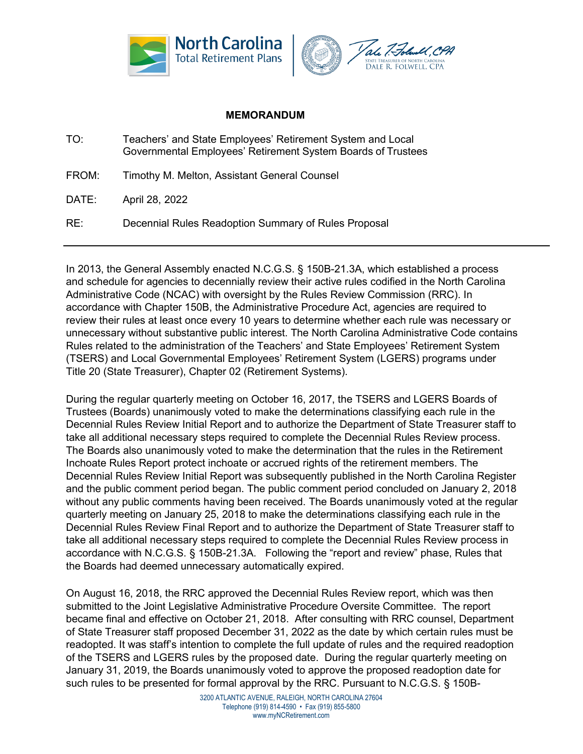



## **MEMORANDUM**

- TO: Teachers' and State Employees' Retirement System and Local Governmental Employees' Retirement System Boards of Trustees
- FROM: Timothy M. Melton, Assistant General Counsel

DATE: April 28, 2022

RE: Decennial Rules Readoption Summary of Rules Proposal

In 2013, the General Assembly enacted N.C.G.S. § 150B-21.3A, which established a process and schedule for agencies to decennially review their active rules codified in the North Carolina Administrative Code (NCAC) with oversight by the Rules Review Commission (RRC). In accordance with Chapter 150B, the Administrative Procedure Act, agencies are required to review their rules at least once every 10 years to determine whether each rule was necessary or unnecessary without substantive public interest. The North Carolina Administrative Code contains Rules related to the administration of the Teachers' and State Employees' Retirement System (TSERS) and Local Governmental Employees' Retirement System (LGERS) programs under Title 20 (State Treasurer), Chapter 02 (Retirement Systems).

During the regular quarterly meeting on October 16, 2017, the TSERS and LGERS Boards of Trustees (Boards) unanimously voted to make the determinations classifying each rule in the Decennial Rules Review Initial Report and to authorize the Department of State Treasurer staff to take all additional necessary steps required to complete the Decennial Rules Review process. The Boards also unanimously voted to make the determination that the rules in the Retirement Inchoate Rules Report protect inchoate or accrued rights of the retirement members. The Decennial Rules Review Initial Report was subsequently published in the North Carolina Register and the public comment period began. The public comment period concluded on January 2, 2018 without any public comments having been received. The Boards unanimously voted at the regular quarterly meeting on January 25, 2018 to make the determinations classifying each rule in the Decennial Rules Review Final Report and to authorize the Department of State Treasurer staff to take all additional necessary steps required to complete the Decennial Rules Review process in accordance with N.C.G.S. § 150B-21.3A. Following the "report and review" phase, Rules that the Boards had deemed unnecessary automatically expired.

On August 16, 2018, the RRC approved the Decennial Rules Review report, which was then submitted to the Joint Legislative Administrative Procedure Oversite Committee. The report became final and effective on October 21, 2018. After consulting with RRC counsel, Department of State Treasurer staff proposed December 31, 2022 as the date by which certain rules must be readopted. It was staff's intention to complete the full update of rules and the required readoption of the TSERS and LGERS rules by the proposed date. During the regular quarterly meeting on January 31, 2019, the Boards unanimously voted to approve the proposed readoption date for such rules to be presented for formal approval by the RRC. Pursuant to N.C.G.S. § 150B-